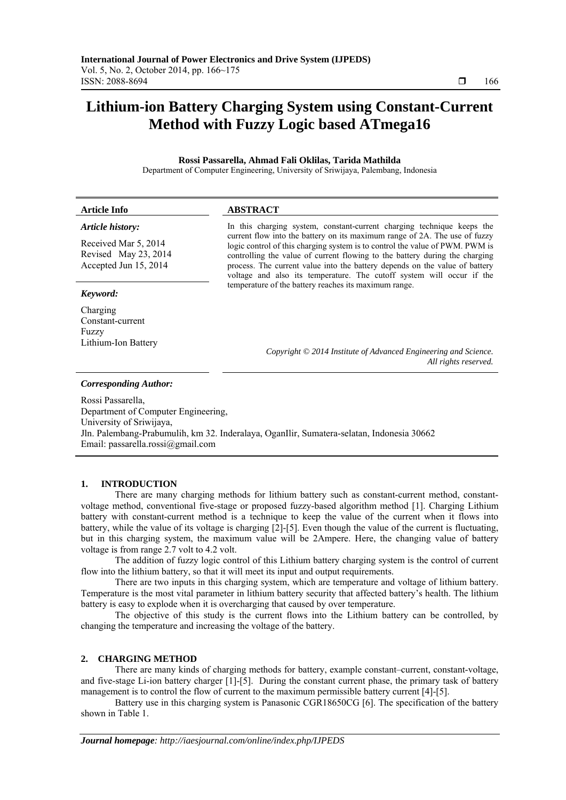# **Lithium-ion Battery Charging System using Constant-Current Method with Fuzzy Logic based ATmega16**

**Rossi Passarella, Ahmad Fali Oklilas, Tarida Mathilda**  Department of Computer Engineering, University of Sriwijaya, Palembang, Indonesia

| <b>Article Info</b>                                              | <b>ABSTRACT</b>                                                                                                                                                                                                                                                                                                     |
|------------------------------------------------------------------|---------------------------------------------------------------------------------------------------------------------------------------------------------------------------------------------------------------------------------------------------------------------------------------------------------------------|
| Article history:<br>Received Mar 5, 2014<br>Revised May 23, 2014 | In this charging system, constant-current charging technique keeps the<br>current flow into the battery on its maximum range of 2A. The use of fuzzy<br>logic control of this charging system is to control the value of PWM. PWM is<br>controlling the value of current flowing to the battery during the charging |
| Accepted Jun 15, 2014<br>Keyword:                                | process. The current value into the battery depends on the value of battery<br>voltage and also its temperature. The cutoff system will occur if the<br>temperature of the battery reaches its maximum range.                                                                                                       |
| Charging<br>Constant-current<br>Fuzzy                            |                                                                                                                                                                                                                                                                                                                     |
| Lithium-Ion Battery                                              | Copyright © 2014 Institute of Advanced Engineering and Science.<br>All rights reserved.                                                                                                                                                                                                                             |
| <b>Corresponding Author:</b>                                     |                                                                                                                                                                                                                                                                                                                     |

Rossi Passarella, Department of Computer Engineering, University of Sriwijaya, Jln. Palembang-Prabumulih, km 32. Inderalaya, OganIlir, Sumatera-selatan, Indonesia 30662 Email: passarella.rossi@gmail.com

### **1. INTRODUCTION**

There are many charging methods for lithium battery such as constant-current method, constantvoltage method, conventional five-stage or proposed fuzzy-based algorithm method [1]. Charging Lithium battery with constant-current method is a technique to keep the value of the current when it flows into battery, while the value of its voltage is charging [2]-[5]. Even though the value of the current is fluctuating, but in this charging system, the maximum value will be 2Ampere. Here, the changing value of battery voltage is from range 2.7 volt to 4.2 volt.

The addition of fuzzy logic control of this Lithium battery charging system is the control of current flow into the lithium battery, so that it will meet its input and output requirements.

There are two inputs in this charging system, which are temperature and voltage of lithium battery. Temperature is the most vital parameter in lithium battery security that affected battery's health. The lithium battery is easy to explode when it is overcharging that caused by over temperature.

The objective of this study is the current flows into the Lithium battery can be controlled, by changing the temperature and increasing the voltage of the battery.

### **2. CHARGING METHOD**

There are many kinds of charging methods for battery, example constant–current, constant-voltage, and five-stage Li-ion battery charger [1]-[5]. During the constant current phase, the primary task of battery management is to control the flow of current to the maximum permissible battery current [4]-[5].

Battery use in this charging system is Panasonic CGR18650CG [6]. The specification of the battery shown in Table 1.

ֺֺ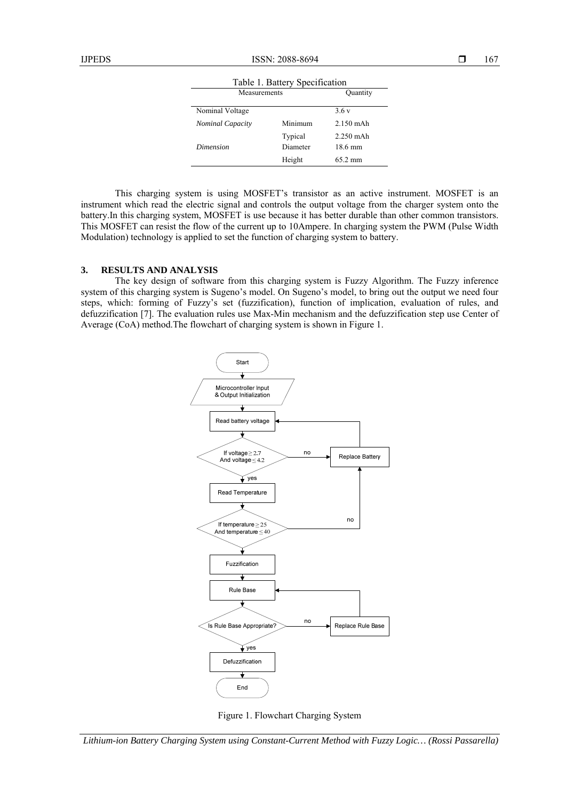| Table 1. Battery Specification |                     |                        |  |  |  |
|--------------------------------|---------------------|------------------------|--|--|--|
| Measurements                   |                     | Quantity               |  |  |  |
| Nominal Voltage                |                     | 3.6v                   |  |  |  |
| <b>Nominal Capacity</b>        | Minimum             | $2.150$ mAh            |  |  |  |
| Dimension                      | Typical<br>Diameter | $2.250$ mAh<br>18.6 mm |  |  |  |
|                                | Height              | $65.2 \text{ mm}$      |  |  |  |

This charging system is using MOSFET's transistor as an active instrument. MOSFET is an instrument which read the electric signal and controls the output voltage from the charger system onto the battery.In this charging system, MOSFET is use because it has better durable than other common transistors. This MOSFET can resist the flow of the current up to 10Ampere. In charging system the PWM (Pulse Width Modulation) technology is applied to set the function of charging system to battery.

## **3. RESULTS AND ANALYSIS**

The key design of software from this charging system is Fuzzy Algorithm. The Fuzzy inference system of this charging system is Sugeno's model. On Sugeno's model, to bring out the output we need four steps, which: forming of Fuzzy's set (fuzzification), function of implication, evaluation of rules, and defuzzification [7]. The evaluation rules use Max-Min mechanism and the defuzzification step use Center of Average (CoA) method.The flowchart of charging system is shown in Figure 1.



Figure 1. Flowchart Charging System

*Lithium-ion Battery Charging System using Constant-Current Method with Fuzzy Logic… (Rossi Passarella)*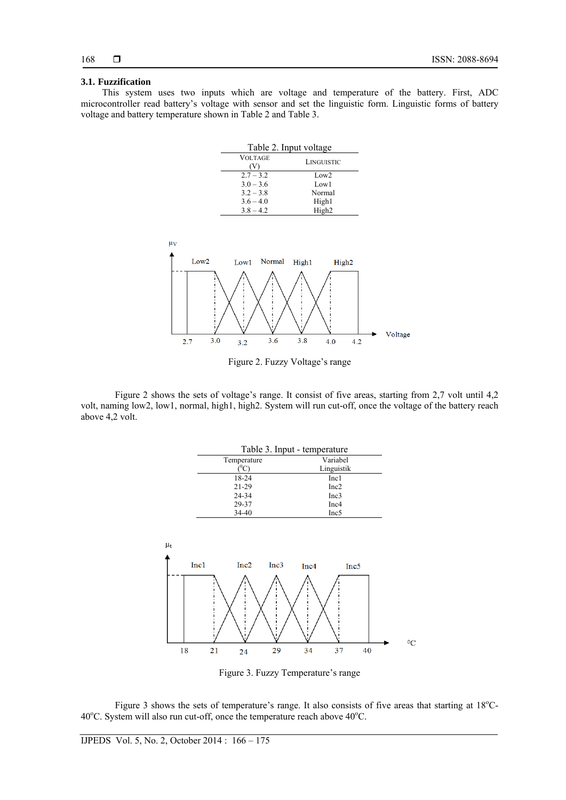# **3.1. Fuzzification**

This system uses two inputs which are voltage and temperature of the battery. First, ADC microcontroller read battery's voltage with sensor and set the linguistic form. Linguistic forms of battery voltage and battery temperature shown in Table 2 and Table 3.

| Table 2. Input voltage |                   |
|------------------------|-------------------|
| <b>VOLTAGE</b>         | LINGUISTIC        |
| $2.7 - 3.2$            | Low2              |
| $3.0 - 3.6$            | Low1              |
| $3.2 - 3.8$            | Normal            |
| $3.6 - 4.0$            | High1             |
| $3.8 - 4.2$            | High <sub>2</sub> |





Figure 2 shows the sets of voltage's range. It consist of five areas, starting from 2,7 volt until 4,2 volt, naming low2, low1, normal, high1, high2. System will run cut-off, once the voltage of the battery reach above 4,2 volt.

|         |                                                 |                  |      | Table 3. Input - temperature |            |    |         |
|---------|-------------------------------------------------|------------------|------|------------------------------|------------|----|---------|
|         |                                                 | Temperature      |      |                              | Variabel   |    |         |
|         |                                                 | $(^0C)$          |      |                              | Linguistik |    |         |
|         |                                                 | 18-24            |      |                              | Inc1       |    |         |
|         |                                                 | $21 - 29$        |      |                              | Inc2       |    |         |
|         |                                                 | 24-34            |      |                              | Inc3       |    |         |
|         |                                                 | 29-37            |      |                              | Inc4       |    |         |
|         |                                                 | 34-40            |      |                              | Inc5       |    |         |
|         |                                                 |                  |      |                              |            |    |         |
| $\mu_t$ |                                                 |                  |      |                              |            |    |         |
|         |                                                 |                  |      |                              |            |    |         |
|         | Inc1                                            | Inc <sub>2</sub> | Inc3 | Inc4                         | Inc5       |    |         |
|         |                                                 |                  |      |                              |            |    |         |
|         | ı                                               |                  |      | ı                            |            |    |         |
|         | $\frac{1}{2}$ : $\frac{1}{2}$ : $\frac{1}{2}$ : |                  |      |                              |            |    |         |
|         |                                                 |                  |      |                              |            |    |         |
|         | ı                                               |                  |      |                              |            |    |         |
|         |                                                 |                  |      |                              |            |    | $^{0}C$ |
| 18      | 21                                              | 24               | 29   | 34                           | 37         | 40 |         |
|         |                                                 |                  |      |                              |            |    |         |

Figure 3. Fuzzy Temperature's range

Figure 3 shows the sets of temperature's range. It also consists of five areas that starting at 18°C-40°C. System will also run cut-off, once the temperature reach above 40°C.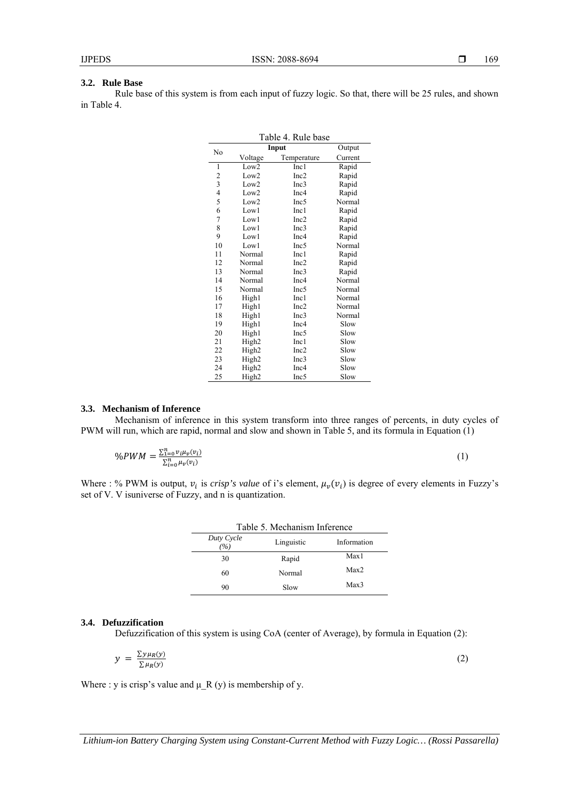#### **3.2. Rule Base**

Rule base of this system is from each input of fuzzy logic. So that, there will be 25 rules, and shown in Table 4.

| Table 4. Rule base      |                   |                  |         |  |  |
|-------------------------|-------------------|------------------|---------|--|--|
|                         |                   | Input            | Output  |  |  |
| No                      | Voltage           | Temperature      | Current |  |  |
| 1                       | Low2              | Inc1             | Rapid   |  |  |
| $\overline{\mathbf{c}}$ | Low <sub>2</sub>  | Inc2             | Rapid   |  |  |
| 3                       | Low $2$           | Inc3             | Rapid   |  |  |
| $\overline{\mathbf{4}}$ | Low2              | Inc4             | Rapid   |  |  |
| 5                       | Low <sub>2</sub>  | Inc <sub>5</sub> | Normal  |  |  |
| 6                       | Low1              | Inc1             | Rapid   |  |  |
| $\overline{7}$          | Low1              | Inc2             | Rapid   |  |  |
| 8                       | Low1              | Inc3             | Rapid   |  |  |
| 9                       | Low1              | Inc4             | Rapid   |  |  |
| 10                      | Low1              | Inc <sub>5</sub> | Normal  |  |  |
| 11                      | Normal            | Inc1             | Rapid   |  |  |
| 12                      | Normal            | Inc2             | Rapid   |  |  |
| 13                      | Normal            | Inc3             | Rapid   |  |  |
| 14                      | Normal            | Inc4             | Normal  |  |  |
| 15                      | Normal            | Inc5             | Normal  |  |  |
| 16                      | High1             | Inc1             | Normal  |  |  |
| 17                      | High1             | Inc2             | Normal  |  |  |
| 18                      | High1             | Inc3             | Normal  |  |  |
| 19                      | High1             | Inc4             | Slow    |  |  |
| 20                      | High1             | Inc5             | Slow    |  |  |
| 21                      | High2             | Inc1             | Slow    |  |  |
| 22                      | High <sub>2</sub> | Inc2             | Slow    |  |  |
| 23                      | High2             | Inc3             | Slow    |  |  |
| 24                      | High2             | Inc4             | Slow    |  |  |
| 25                      | High <sub>2</sub> | Inc5             | Slow    |  |  |

#### **3.3. Mechanism of Inference**

Mechanism of inference in this system transform into three ranges of percents, in duty cycles of PWM will run, which are rapid, normal and slow and shown in Table 5, and its formula in Equation (1)

$$
\%PWM = \frac{\sum_{i=0}^{n} v_i \mu_v(v_i)}{\sum_{i=0}^{n} \mu_v(v_i)}\tag{1}
$$

Where : % PWM is output,  $v_i$  is *crisp's value* of i's element,  $\mu_v(v_i)$  is degree of every elements in Fuzzy's set of V. V isuniverse of Fuzzy, and n is quantization.

| Table 5. Mechanism Inference  |            |             |  |  |
|-------------------------------|------------|-------------|--|--|
| Duty Cycle<br>$\frac{\%}{\%}$ | Linguistic | Information |  |  |
| 30                            | Rapid      | Max1        |  |  |
| 60                            | Normal     | Max2        |  |  |
| 90                            | Slow       | Max3        |  |  |

#### **3.4. Defuzzification**

Defuzzification of this system is using CoA (center of Average), by formula in Equation (2):

$$
y = \frac{\sum y \mu_R(y)}{\sum \mu_R(y)}\tag{2}
$$

Where : y is crisp's value and  $\mu$  R (y) is membership of y.

*Lithium-ion Battery Charging System using Constant-Current Method with Fuzzy Logic… (Rossi Passarella)*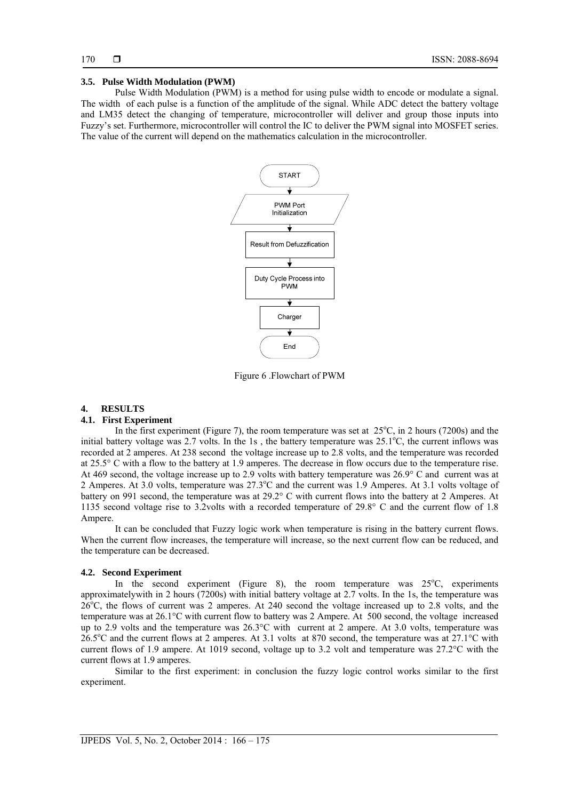#### **3.5. Pulse Width Modulation (PWM)**

Pulse Width Modulation (PWM) is a method for using pulse width to encode or modulate a signal. The width of each pulse is a function of the amplitude of the signal. While ADC detect the battery voltage and LM35 detect the changing of temperature, microcontroller will deliver and group those inputs into Fuzzy's set. Furthermore, microcontroller will control the IC to deliver the PWM signal into MOSFET series. The value of the current will depend on the mathematics calculation in the microcontroller.



Figure 6 .Flowchart of PWM

#### **4. RESULTS**

#### **4.1. First Experiment**

In the first experiment (Figure 7), the room temperature was set at  $25^{\circ}$ C, in 2 hours (7200s) and the initial battery voltage was 2.7 volts. In the 1s, the battery temperature was  $25.1^{\circ}$ C, the current inflows was recorded at 2 amperes. At 238 second the voltage increase up to 2.8 volts, and the temperature was recorded at 25.5° C with a flow to the battery at 1.9 amperes. The decrease in flow occurs due to the temperature rise. At 469 second, the voltage increase up to 2.9 volts with battery temperature was 26.9° C and current was at 2 Amperes. At 3.0 volts, temperature was 27.3°C and the current was 1.9 Amperes. At 3.1 volts voltage of battery on 991 second, the temperature was at 29.2° C with current flows into the battery at 2 Amperes. At 1135 second voltage rise to 3.2volts with a recorded temperature of 29.8° C and the current flow of 1.8 Ampere.

It can be concluded that Fuzzy logic work when temperature is rising in the battery current flows. When the current flow increases, the temperature will increase, so the next current flow can be reduced, and the temperature can be decreased.

#### **4.2. Second Experiment**

In the second experiment (Figure 8), the room temperature was  $25^{\circ}$ C, experiments approximatelywith in 2 hours (7200s) with initial battery voltage at 2.7 volts. In the 1s, the temperature was 26<sup>o</sup>C, the flows of current was 2 amperes. At 240 second the voltage increased up to 2.8 volts, and the temperature was at 26.1°C with current flow to battery was 2 Ampere. At 500 second, the voltage increased up to 2.9 volts and the temperature was 26.3°C with current at 2 ampere. At 3.0 volts, temperature was  $26.5^{\circ}$ C and the current flows at 2 amperes. At 3.1 volts at 870 second, the temperature was at 27.1°C with current flows of 1.9 ampere. At 1019 second, voltage up to 3.2 volt and temperature was 27.2°C with the current flows at 1.9 amperes.

Similar to the first experiment: in conclusion the fuzzy logic control works similar to the first experiment.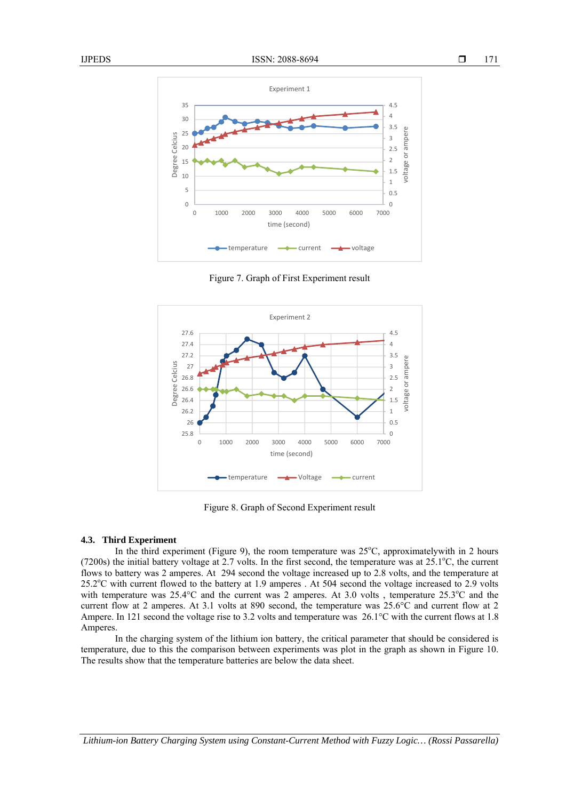

Figure 7. Graph of First Experiment result



Figure 8. Graph of Second Experiment result

#### **4.3. Third Experiment**

In the third experiment (Figure 9), the room temperature was  $25^{\circ}$ C, approximatelywith in 2 hours  $(7200s)$  the initial battery voltage at 2.7 volts. In the first second, the temperature was at  $25.1^{\circ}$ C, the current flows to battery was 2 amperes. At 294 second the voltage increased up to 2.8 volts, and the temperature at 25.2°C with current flowed to the battery at 1.9 amperes . At 504 second the voltage increased to 2.9 volts with temperature was 25.4°C and the current was 2 amperes. At 3.0 volts, temperature 25.3°C and the current flow at 2 amperes. At 3.1 volts at 890 second, the temperature was 25.6°C and current flow at 2 Ampere. In 121 second the voltage rise to 3.2 volts and temperature was 26.1°C with the current flows at 1.8 Amperes.

In the charging system of the lithium ion battery, the critical parameter that should be considered is temperature, due to this the comparison between experiments was plot in the graph as shown in Figure 10. The results show that the temperature batteries are below the data sheet.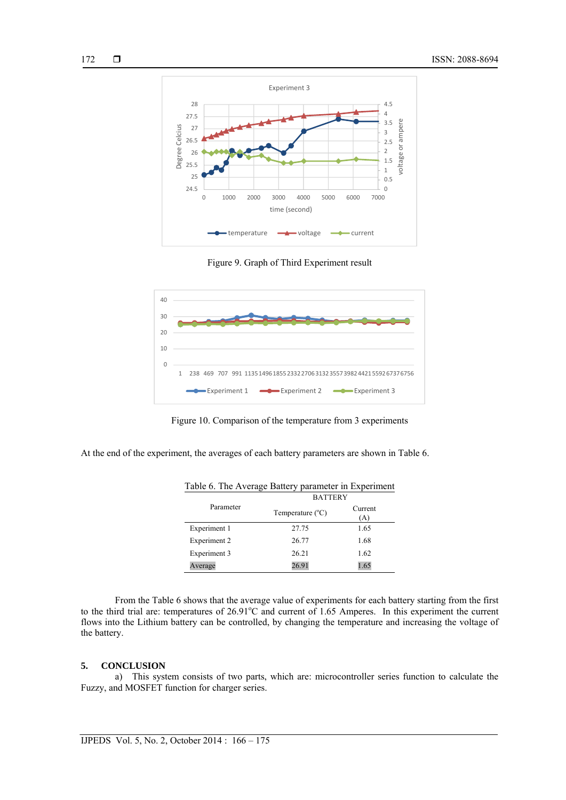



Figure 9. Graph of Third Experiment result



Figure 10. Comparison of the temperature from 3 experiments

At the end of the experiment, the averages of each battery parameters are shown in Table 6.

|              | <b>BATTERY</b>            |                |
|--------------|---------------------------|----------------|
| Parameter    | Temperature $(^{\circ}C)$ | Current<br>(A) |
| Experiment 1 | 27.75                     | 1.65           |
| Experiment 2 | 26.77                     | 1.68           |
| Experiment 3 | 26.21                     | 1.62           |
| Average      | 26.91                     | 1.65           |

| Table 6. The Average Battery parameter in Experiment |
|------------------------------------------------------|
|------------------------------------------------------|

From the Table 6 shows that the average value of experiments for each battery starting from the first to the third trial are: temperatures of  $26.91^{\circ}$ C and current of 1.65 Amperes. In this experiment the current flows into the Lithium battery can be controlled, by changing the temperature and increasing the voltage of the battery.

#### **5. CONCLUSION**

a) This system consists of two parts, which are: microcontroller series function to calculate the Fuzzy, and MOSFET function for charger series.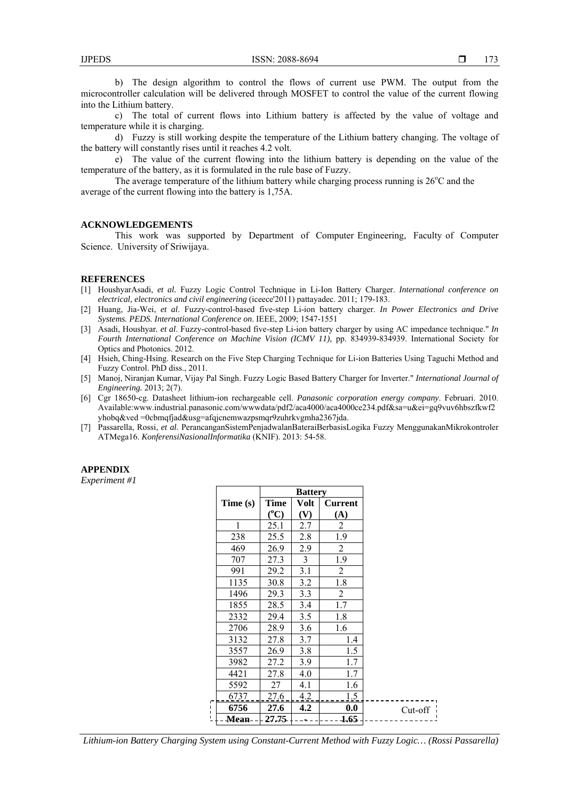b) The design algorithm to control the flows of current use PWM. The output from the microcontroller calculation will be delivered through MOSFET to control the value of the current flowing into the Lithium battery.

c) The total of current flows into Lithium battery is affected by the value of voltage and temperature while it is charging.

d) Fuzzy is still working despite the temperature of the Lithium battery changing. The voltage of the battery will constantly rises until it reaches 4.2 volt.

e) The value of the current flowing into the lithium battery is depending on the value of the temperature of the battery, as it is formulated in the rule base of Fuzzy.

The average temperature of the lithium battery while charging process running is  $26^{\circ}$ C and the average of the current flowing into the battery is 1,75A.

## **ACKNOWLEDGEMENTS**

This work was supported by Department of Computer Engineering, Faculty of Computer Science. University of Sriwijaya.

#### **REFERENCES**

- [1] HoushyarAsadi, *et al.* Fuzzy Logic Control Technique in Li-Ion Battery Charger. *International conference on electrical, electronics and civil engineering* (iceece'2011) pattayadec. 2011; 179-183.
- [2] Huang, Jia-Wei, *et al*. Fuzzy-control-based five-step Li-ion battery charger. *In Power Electronics and Drive Systems. PEDS. International Conference on*. IEEE, 2009; 1547-1551
- [3] Asadi, Houshyar*. et al*. Fuzzy-control-based five-step Li-ion battery charger by using AC impedance technique." *In Fourth International Conference on Machine Vision (ICMV 11),* pp. 834939-834939. International Society for Optics and Photonics. 2012.
- [4] Hsieh, Ching-Hsing. Research on the Five Step Charging Technique for Li-ion Batteries Using Taguchi Method and Fuzzy Control. PhD diss., 2011.
- [5] Manoj, Niranjan Kumar, Vijay Pal Singh. Fuzzy Logic Based Battery Charger for Inverter." *International Journal of Engineering.* 2013; 2(7).
- [6] Cgr 18650-cg. Datasheet lithium-ion rechargeable cell. *Panasonic corporation energy company*. Februari. 2010. Available:www.industrial.panasonic.com/wwwdata/pdf2/aca4000/aca4000ce234.pdf&sa=u&ei=gq9vuv6hbszfkwf2 yhobq&ved =0cbmqfjad&usg=afqjcnemwazpsmqr9zuhrkvgmha2367jda.
- [7] Passarella, Rossi, *et al*. PerancanganSistemPenjadwalanBateraiBerbasisLogika Fuzzy MenggunakanMikrokontroler ATMega16. *KonferensiNasionalInformatika* (KNIF). 2013: 54-58.

#### **APPENDIX**

*Experiment #1* 

|   |          |               | <b>Battery</b> |                |           |
|---|----------|---------------|----------------|----------------|-----------|
|   | Time (s) | Time          | Volt           | <b>Current</b> |           |
|   |          | $(^{\circ}C)$ | (V)            | (A)            |           |
|   | 1        | 25.1          | 2.7            | 2              |           |
|   | 238      | 25.5          | 2.8            | 1.9            |           |
|   | 469      | 26.9          | 2.9            | $\overline{2}$ |           |
|   | 707      | 27.3          | 3              | 1.9            |           |
|   | 991      | 29.2          | 3.1            | 2              |           |
|   | 1135     | 30.8          | 3.2            | 1.8            |           |
|   | 1496     | 29.3          | 3.3            | $\overline{2}$ |           |
|   | 1855     | 28.5          | 3.4            | 1.7            |           |
|   | 2332     | 29.4          | 3.5            | 1.8            |           |
|   | 2706     | 28.9          | 3.6            | 1.6            |           |
|   | 3132     | 27.8          | 3.7            | 1.4            |           |
|   | 3557     | 26.9          | 3.8            | 1.5            |           |
|   | 3982     | 27.2          | 3.9            | 1.7            |           |
|   | 4421     | 27.8          | 4.0            | 1.7            |           |
|   | 5592     | 27            | 4.1            | 1.6            |           |
| г | 6737     | <u>27.6</u>   | 4.2            | 1.5            |           |
| п | 6756     | 27.6          | 4.2            | 0.0            | $Cut-off$ |
|   | -Mean-   | 27.75         |                | -1,65          |           |

*Lithium-ion Battery Charging System using Constant-Current Method with Fuzzy Logic… (Rossi Passarella)*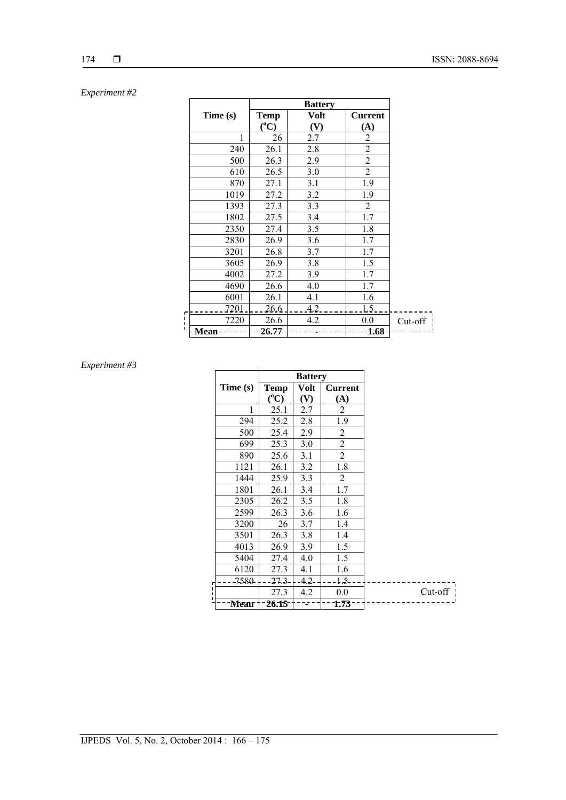# 174

# *Experiment #2*

|        |          |               | <b>Battery</b> |                |         |
|--------|----------|---------------|----------------|----------------|---------|
|        | Time (s) | Temp          | Volt           | <b>Current</b> |         |
|        |          | $(^{\circ}C)$ | (V)            | (A)            |         |
|        | 1        | 26            | 2.7            | $\overline{c}$ |         |
|        | 240      | 26.1          | 2.8            | $\overline{2}$ |         |
|        | 500      | 26.3          | 2.9            | $\overline{2}$ |         |
|        | 610      | 26.5          | 3.0            | $\overline{2}$ |         |
|        | 870      | 27.1          | 3.1            | 1.9            |         |
|        | 1019     | 27.2          | 3.2            | 1.9            |         |
|        | 1393     | 27.3          | 3.3            | 2              |         |
|        | 1802     | 27.5          | 3.4            | 1.7            |         |
|        | 2350     | 27.4          | 3.5            | 1.8            |         |
|        | 2830     | 26.9          | 3.6            | 1.7            |         |
|        | 3201     | 26.8          | 3.7            | 1.7            |         |
|        | 3605     | 26.9          | 3.8            | 1.5            |         |
|        | 4002     | 27.2          | 3.9            | 1.7            |         |
|        | 4690     | 26.6          | 4.0            | 1.7            |         |
|        | 6001     | 26.1          | 4.1            | 1.6            |         |
| г      | 7201     | 26.6          | 4.2            | 15.            |         |
| ٠<br>ı | 7220     | 26.6          | 4.2            | 0.0            | Cut-off |
| п      | Mean     | -26.77        |                | 1.68           |         |

# *Experiment #3*

|          |               | <b>Battery</b> |                |         |
|----------|---------------|----------------|----------------|---------|
| Time (s) | Temp          | Volt           | <b>Current</b> |         |
|          | $(^{\circ}C)$ | (V)            | (A)            |         |
| 1        | 25.1          | 2.7            | 2              |         |
| 294      | 25.2          | 2.8            | 1.9            |         |
| 500      | 25.4          | 2.9            | $\overline{2}$ |         |
| 699      | 25.3          | 3.0            | $\overline{2}$ |         |
| 890      | 25.6          | 3.1            | $\overline{2}$ |         |
| 1121     | 26.1          | 3.2            | 1.8            |         |
| 1444     | 25.9          | 3.3            | 2              |         |
| 1801     | 26.1          | 3.4            | 1.7            |         |
| 2305     | 26.2          | 3.5            | 1.8            |         |
| 2599     | 26.3          | 3.6            | 1.6            |         |
| 3200     | 26            | 3.7            | 1.4            |         |
| 3501     | 26.3          | 3.8            | 1.4            |         |
| 4013     | 26.9          | 3.9            | 1.5            |         |
| 5404     | 27.4          | 4.0            | 1.5            |         |
| 6120     | 27.3          | 4.1            | 1.6            |         |
| -7580-   | $27.3 -$      | $-4.2 -$       | $1.5 -$        |         |
|          | 27.3          | 4.2            | 0.0            | Cut-off |
| -Mean +  | $-26.15$      |                | -1.73-         |         |